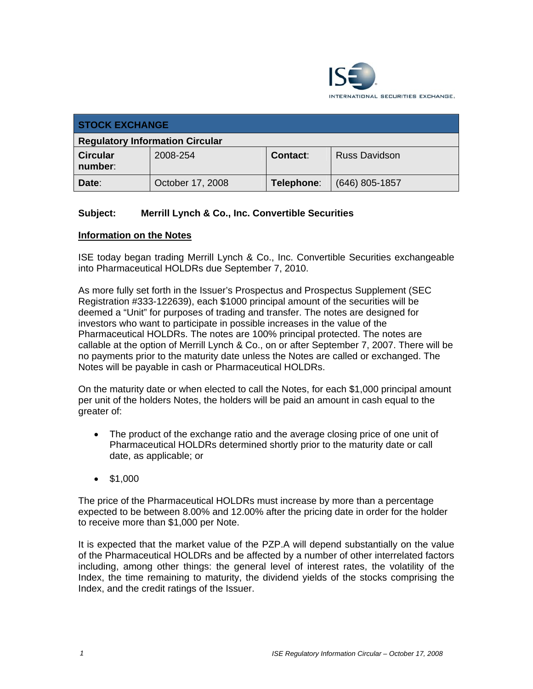

| <b>STOCK EXCHANGE</b>                  |                  |                 |                      |
|----------------------------------------|------------------|-----------------|----------------------|
| <b>Regulatory Information Circular</b> |                  |                 |                      |
| <b>Circular</b><br>number:             | 2008-254         | <b>Contact:</b> | <b>Russ Davidson</b> |
| Date:                                  | October 17, 2008 | Telephone:      | $(646)$ 805-1857     |

## **Subject: Merrill Lynch & Co., Inc. Convertible Securities**

## **Information on the Notes**

ISE today began trading Merrill Lynch & Co., Inc. Convertible Securities exchangeable into Pharmaceutical HOLDRs due September 7, 2010.

As more fully set forth in the Issuer's Prospectus and Prospectus Supplement (SEC Registration #333-122639), each \$1000 principal amount of the securities will be deemed a "Unit" for purposes of trading and transfer. The notes are designed for investors who want to participate in possible increases in the value of the Pharmaceutical HOLDRs. The notes are 100% principal protected. The notes are callable at the option of Merrill Lynch & Co., on or after September 7, 2007. There will be no payments prior to the maturity date unless the Notes are called or exchanged. The Notes will be payable in cash or Pharmaceutical HOLDRs.

On the maturity date or when elected to call the Notes, for each \$1,000 principal amount per unit of the holders Notes, the holders will be paid an amount in cash equal to the greater of:

- The product of the exchange ratio and the average closing price of one unit of Pharmaceutical HOLDRs determined shortly prior to the maturity date or call date, as applicable; or
- \$1,000

The price of the Pharmaceutical HOLDRs must increase by more than a percentage expected to be between 8.00% and 12.00% after the pricing date in order for the holder to receive more than \$1,000 per Note.

It is expected that the market value of the PZP.A will depend substantially on the value of the Pharmaceutical HOLDRs and be affected by a number of other interrelated factors including, among other things: the general level of interest rates, the volatility of the Index, the time remaining to maturity, the dividend yields of the stocks comprising the Index, and the credit ratings of the Issuer.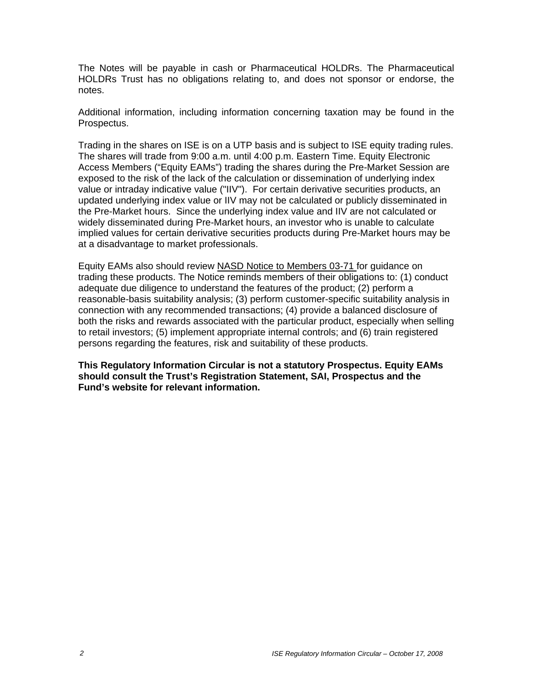The Notes will be payable in cash or Pharmaceutical HOLDRs. The Pharmaceutical HOLDRs Trust has no obligations relating to, and does not sponsor or endorse, the notes.

Additional information, including information concerning taxation may be found in the Prospectus.

Trading in the shares on ISE is on a UTP basis and is subject to ISE equity trading rules. The shares will trade from 9:00 a.m. until 4:00 p.m. Eastern Time. Equity Electronic Access Members ("Equity EAMs") trading the shares during the Pre-Market Session are exposed to the risk of the lack of the calculation or dissemination of underlying index value or intraday indicative value ("IIV"). For certain derivative securities products, an updated underlying index value or IIV may not be calculated or publicly disseminated in the Pre-Market hours. Since the underlying index value and IIV are not calculated or widely disseminated during Pre-Market hours, an investor who is unable to calculate implied values for certain derivative securities products during Pre-Market hours may be at a disadvantage to market professionals.

Equity EAMs also should review NASD Notice to Members 03-71 for guidance on trading these products. The Notice reminds members of their obligations to: (1) conduct adequate due diligence to understand the features of the product; (2) perform a reasonable-basis suitability analysis; (3) perform customer-specific suitability analysis in connection with any recommended transactions; (4) provide a balanced disclosure of both the risks and rewards associated with the particular product, especially when selling to retail investors; (5) implement appropriate internal controls; and (6) train registered persons regarding the features, risk and suitability of these products.

**This Regulatory Information Circular is not a statutory Prospectus. Equity EAMs should consult the Trust's Registration Statement, SAI, Prospectus and the Fund's website for relevant information.**